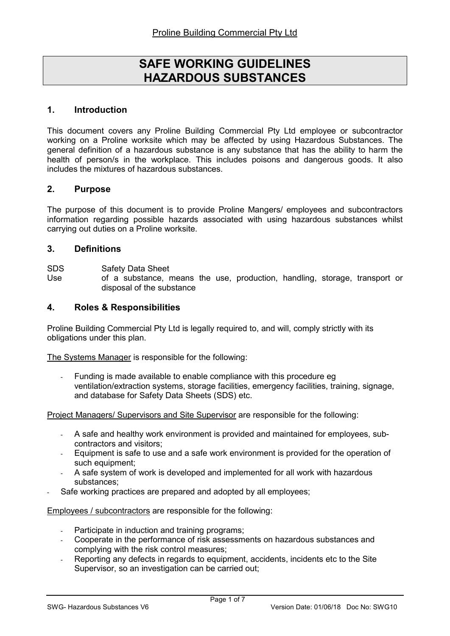# SAFE WORKING GUIDELINES HAZARDOUS SUBSTANCES

#### 1. Introduction

This document covers any Proline Building Commercial Pty Ltd employee or subcontractor working on a Proline worksite which may be affected by using Hazardous Substances. The general definition of a hazardous substance is any substance that has the ability to harm the health of person/s in the workplace. This includes poisons and dangerous goods. It also includes the mixtures of hazardous substances.

#### 2. Purpose

The purpose of this document is to provide Proline Mangers/ employees and subcontractors information regarding possible hazards associated with using hazardous substances whilst carrying out duties on a Proline worksite.

#### 3. Definitions

SDS Safety Data Sheet

Use of a substance, means the use, production, handling, storage, transport or disposal of the substance

#### 4. Roles & Responsibilities

Proline Building Commercial Pty Ltd is legally required to, and will, comply strictly with its obligations under this plan.

The Systems Manager is responsible for the following:

Funding is made available to enable compliance with this procedure eg ventilation/extraction systems, storage facilities, emergency facilities, training, signage, and database for Safety Data Sheets (SDS) etc.

Project Managers/ Supervisors and Site Supervisor are responsible for the following:

- A safe and healthy work environment is provided and maintained for employees, subcontractors and visitors;
- Equipment is safe to use and a safe work environment is provided for the operation of such equipment;
- A safe system of work is developed and implemented for all work with hazardous substances;
- Safe working practices are prepared and adopted by all employees;

Employees / subcontractors are responsible for the following:

- Participate in induction and training programs;
- Cooperate in the performance of risk assessments on hazardous substances and complying with the risk control measures;
- Reporting any defects in regards to equipment, accidents, incidents etc to the Site Supervisor, so an investigation can be carried out;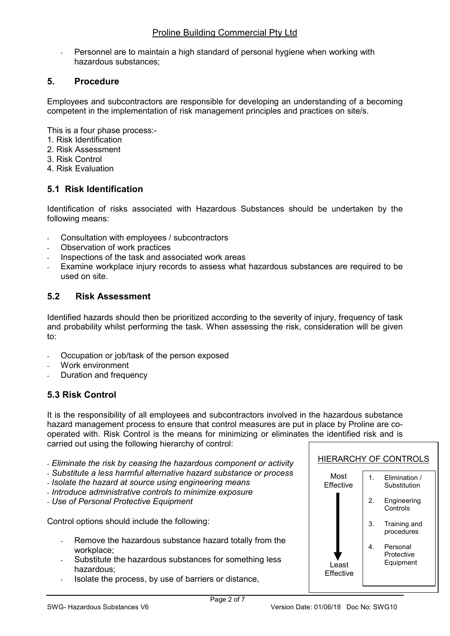Personnel are to maintain a high standard of personal hygiene when working with hazardous substances;

## 5. Procedure

Employees and subcontractors are responsible for developing an understanding of a becoming competent in the implementation of risk management principles and practices on site/s.

This is a four phase process:-

- 1. Risk Identification
- 2. Risk Assessment
- 3. Risk Control
- 4. Risk Evaluation

# 5.1 Risk Identification

Identification of risks associated with Hazardous Substances should be undertaken by the following means:

- Consultation with employees / subcontractors
- Observation of work practices
- Inspections of the task and associated work areas
- Examine workplace injury records to assess what hazardous substances are required to be used on site.

## 5.2 Risk Assessment

Identified hazards should then be prioritized according to the severity of injury, frequency of task and probability whilst performing the task. When assessing the risk, consideration will be given to:

- Occupation or job/task of the person exposed
- Work environment
- Duration and frequency

# 5.3 Risk Control

It is the responsibility of all employees and subcontractors involved in the hazardous substance hazard management process to ensure that control measures are put in place by Proline are cooperated with. Risk Control is the means for minimizing or eliminates the identified risk and is carried out using the following hierarchy of control:

- Eliminate the risk by ceasing the hazardous component or activity
- Substitute a less harmful alternative hazard substance or process
- Isolate the hazard at source using engineering means
- Introduce administrative controls to minimize exposure
- Use of Personal Protective Equipment

Control options should include the following:

- Remove the hazardous substance hazard totally from the workplace;
- Substitute the hazardous substances for something less hazardous;
- Isolate the process, by use of barriers or distance,

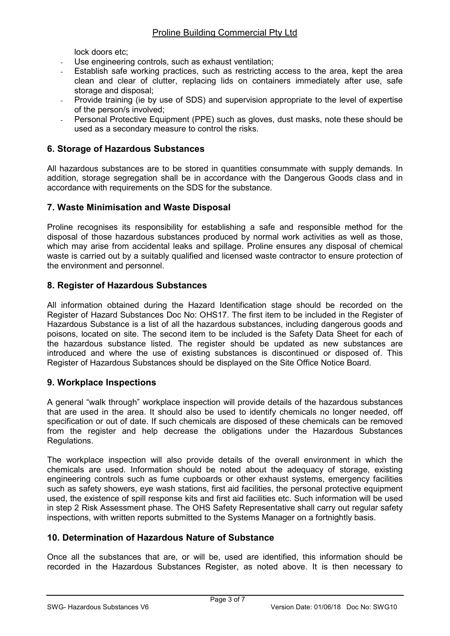lock doors etc;

- Use engineering controls, such as exhaust ventilation;
- Establish safe working practices, such as restricting access to the area, kept the area clean and clear of clutter, replacing lids on containers immediately after use, safe storage and disposal;
- Provide training (ie by use of SDS) and supervision appropriate to the level of expertise of the person/s involved;
- Personal Protective Equipment (PPE) such as gloves, dust masks, note these should be used as a secondary measure to control the risks.

## 6. Storage of Hazardous Substances

All hazardous substances are to be stored in quantities consummate with supply demands. In addition, storage segregation shall be in accordance with the Dangerous Goods class and in accordance with requirements on the SDS for the substance.

## 7. Waste Minimisation and Waste Disposal

Proline recognises its responsibility for establishing a safe and responsible method for the disposal of those hazardous substances produced by normal work activities as well as those, which may arise from accidental leaks and spillage. Proline ensures any disposal of chemical waste is carried out by a suitably qualified and licensed waste contractor to ensure protection of the environment and personnel.

## 8. Register of Hazardous Substances

All information obtained during the Hazard Identification stage should be recorded on the Register of Hazard Substances Doc No: OHS17. The first item to be included in the Register of Hazardous Substance is a list of all the hazardous substances, including dangerous goods and poisons, located on site. The second item to be included is the Safety Data Sheet for each of the hazardous substance listed. The register should be updated as new substances are introduced and where the use of existing substances is discontinued or disposed of. This Register of Hazardous Substances should be displayed on the Site Office Notice Board.

## 9. Workplace Inspections

A general "walk through" workplace inspection will provide details of the hazardous substances that are used in the area. It should also be used to identify chemicals no longer needed, off specification or out of date. If such chemicals are disposed of these chemicals can be removed from the register and help decrease the obligations under the Hazardous Substances Regulations.

The workplace inspection will also provide details of the overall environment in which the chemicals are used. Information should be noted about the adequacy of storage, existing engineering controls such as fume cupboards or other exhaust systems, emergency facilities such as safety showers, eye wash stations, first aid facilities, the personal protective equipment used, the existence of spill response kits and first aid facilities etc. Such information will be used in step 2 Risk Assessment phase. The OHS Safety Representative shall carry out regular safety inspections, with written reports submitted to the Systems Manager on a fortnightly basis.

## 10. Determination of Hazardous Nature of Substance

Once all the substances that are, or will be, used are identified, this information should be recorded in the Hazardous Substances Register, as noted above. It is then necessary to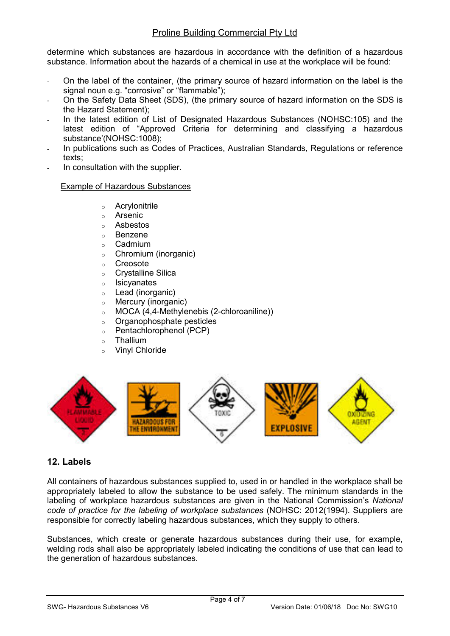determine which substances are hazardous in accordance with the definition of a hazardous substance. Information about the hazards of a chemical in use at the workplace will be found:

- On the label of the container, (the primary source of hazard information on the label is the signal noun e.g. "corrosive" or "flammable");
- On the Safety Data Sheet (SDS), (the primary source of hazard information on the SDS is the Hazard Statement);
- In the latest edition of List of Designated Hazardous Substances (NOHSC:105) and the latest edition of "Approved Criteria for determining and classifying a hazardous substance'(NOHSC:1008);
- In publications such as Codes of Practices, Australian Standards, Regulations or reference texts;
- In consultation with the supplier.

#### Example of Hazardous Substances

- o Acrylonitrile
- o Arsenic
- o Asbestos
- o Benzene
- o Cadmium
- o Chromium (inorganic)
- o Creosote
- o Crystalline Silica
- o Isicyanates
- o Lead (inorganic)
- o Mercury (inorganic)
- o MOCA (4,4-Methylenebis (2-chloroaniline))
- o Organophosphate pesticles
- o Pentachlorophenol (PCP)
- o Thallium
- o Vinyl Chloride



## 12. Labels

All containers of hazardous substances supplied to, used in or handled in the workplace shall be appropriately labeled to allow the substance to be used safely. The minimum standards in the labeling of workplace hazardous substances are given in the National Commission's National code of practice for the labeling of workplace substances (NOHSC: 2012(1994). Suppliers are responsible for correctly labeling hazardous substances, which they supply to others.

Substances, which create or generate hazardous substances during their use, for example, welding rods shall also be appropriately labeled indicating the conditions of use that can lead to the generation of hazardous substances.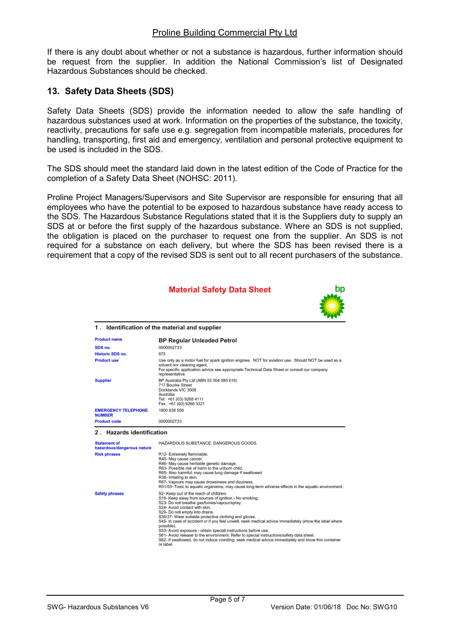#### Proline Building Commercial Pty Ltd

If there is any doubt about whether or not a substance is hazardous, further information should be request from the supplier. In addition the National Commission's list of Designated Hazardous Substances should be checked.

## 13. Safety Data Sheets (SDS)

Safety Data Sheets (SDS) provide the information needed to allow the safe handling of hazardous substances used at work. Information on the properties of the substance, the toxicity, reactivity, precautions for safe use e.g. segregation from incompatible materials, procedures for handling, transporting, first aid and emergency, ventilation and personal protective equipment to be used is included in the SDS

The SDS should meet the standard laid down in the latest edition of the Code of Practice for the completion of a Safety Data Sheet (NOHSC: 2011).

Proline Project Managers/Supervisors and Site Supervisor are responsible for ensuring that all employees who have the potential to be exposed to hazardous substance have ready access to the SDS. The Hazardous Substance Regulations stated that it is the Suppliers duty to supply an SDS at or before the first supply of the hazardous substance. Where an SDS is not supplied, the obligation is placed on the purchaser to request one from the supplier. An SDS is not required for a substance on each delivery, but where the SDS has been revised there is a requirement that a copy of the revised SDS is sent out to all recent purchasers of the substance.

|                                                   | <b>Material Safety Data Sheet</b>                                                                                                                                                                                                                                                                                                                                                                                                                                                                                                                                                                                                                                                |  |
|---------------------------------------------------|----------------------------------------------------------------------------------------------------------------------------------------------------------------------------------------------------------------------------------------------------------------------------------------------------------------------------------------------------------------------------------------------------------------------------------------------------------------------------------------------------------------------------------------------------------------------------------------------------------------------------------------------------------------------------------|--|
|                                                   | 1. Identification of the material and supplier                                                                                                                                                                                                                                                                                                                                                                                                                                                                                                                                                                                                                                   |  |
| <b>Product name</b>                               | <b>BP Regular Unleaded Petrol</b>                                                                                                                                                                                                                                                                                                                                                                                                                                                                                                                                                                                                                                                |  |
| SDS no.                                           | 0000002733                                                                                                                                                                                                                                                                                                                                                                                                                                                                                                                                                                                                                                                                       |  |
| <b>Historic SDS no.</b>                           | 875                                                                                                                                                                                                                                                                                                                                                                                                                                                                                                                                                                                                                                                                              |  |
| <b>Product use</b>                                | Use only as a motor fuel for spark ignition engines. NOT for aviation use. Should NOT be used as a<br>solvent nor cleaning agent.<br>For specific application advice see appropriate Technical Data Sheet or consult our company<br>representative.                                                                                                                                                                                                                                                                                                                                                                                                                              |  |
| <b>Supplier</b>                                   | BP Australia Pty Ltd (ABN 53 004 085 616)<br><b>717 Bourke Street</b><br>Docklands VIC 3008<br>Australia<br>Tel: +61 (03) 9268 4111<br>Fax: +61 (03) 9268 3321                                                                                                                                                                                                                                                                                                                                                                                                                                                                                                                   |  |
| <b>EMERGENCY TELEPHONE</b><br><b>NUMBER</b>       | 1800 638 556                                                                                                                                                                                                                                                                                                                                                                                                                                                                                                                                                                                                                                                                     |  |
| <b>Product code</b>                               | 0000002733                                                                                                                                                                                                                                                                                                                                                                                                                                                                                                                                                                                                                                                                       |  |
| 2 . Hazards identification                        |                                                                                                                                                                                                                                                                                                                                                                                                                                                                                                                                                                                                                                                                                  |  |
| <b>Statement of</b><br>hazardous/dangerous nature | HAZARDOUS SUBSTANCE, DANGEROUS GOODS.                                                                                                                                                                                                                                                                                                                                                                                                                                                                                                                                                                                                                                            |  |
| <b>Risk phrases</b>                               | R12- Extremely flammable.<br>R45- May cause cancer.<br>R46- May cause heritable genetic damage.<br>R63- Possible risk of harm to the unborn child.<br>R65- Also harmful: may cause lung damage if swallowed.<br>R38- Irritating to skin.<br>R67- Vapours may cause drowsiness and dizziness.<br>R51/53- Toxic to aquatic organisms, may cause long-term adverse effects in the aquatic environment.                                                                                                                                                                                                                                                                              |  |
| <b>Safety phrases</b>                             | S2- Keep out of the reach of children.<br>S16- Keep away from sources of ignition - No smoking.<br>S23- Do not breathe gas/fumes/vapour/spray.<br>S24- Avoid contact with skin.<br>S29- Do not empty into drains.<br>S36/37- Wear suitable protective clothing and gloves.<br>S45- In case of accident or if you feel unwell, seek medical advice immediately (show the label where<br>possible).<br>S53- Avoid exposure - obtain special instructions before use.<br>S61- Avoid release to the environment. Refer to special instructions/safety data sheet.<br>S62- If swallowed, do not induce vomiting: seek medical advice immediately and show this container<br>or label. |  |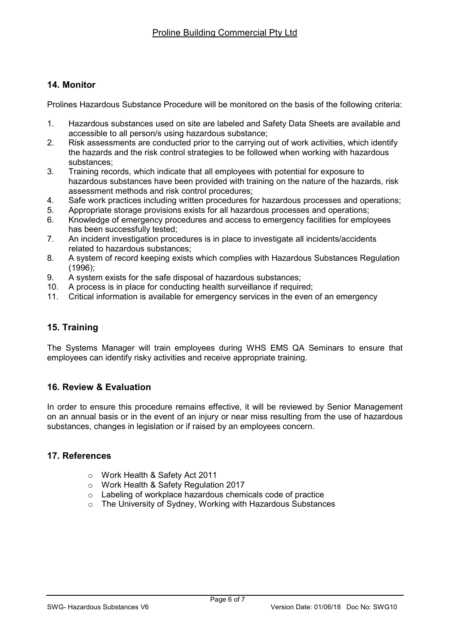## 14. Monitor

Prolines Hazardous Substance Procedure will be monitored on the basis of the following criteria:

- 1. Hazardous substances used on site are labeled and Safety Data Sheets are available and accessible to all person/s using hazardous substance;
- 2. Risk assessments are conducted prior to the carrying out of work activities, which identify the hazards and the risk control strategies to be followed when working with hazardous substances;
- 3. Training records, which indicate that all employees with potential for exposure to hazardous substances have been provided with training on the nature of the hazards, risk assessment methods and risk control procedures;
- 4. Safe work practices including written procedures for hazardous processes and operations;
- 5. Appropriate storage provisions exists for all hazardous processes and operations;
- 6. Knowledge of emergency procedures and access to emergency facilities for employees has been successfully tested;
- 7. An incident investigation procedures is in place to investigate all incidents/accidents related to hazardous substances;
- 8. A system of record keeping exists which complies with Hazardous Substances Regulation (1996);
- 9. A system exists for the safe disposal of hazardous substances;
- 10. A process is in place for conducting health surveillance if required;
- 11. Critical information is available for emergency services in the even of an emergency

# 15. Training

The Systems Manager will train employees during WHS EMS QA Seminars to ensure that employees can identify risky activities and receive appropriate training.

## 16. Review & Evaluation

In order to ensure this procedure remains effective, it will be reviewed by Senior Management on an annual basis or in the event of an injury or near miss resulting from the use of hazardous substances, changes in legislation or if raised by an employees concern.

#### 17. References

- o Work Health & Safety Act 2011
- o Work Health & Safety Regulation 2017
- o Labeling of workplace hazardous chemicals code of practice
- o The University of Sydney, Working with Hazardous Substances